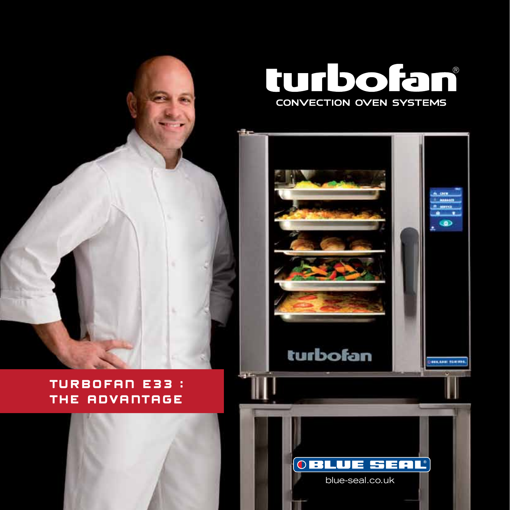

## turbofan® **CONVECTION OVEN SYSTEMS**





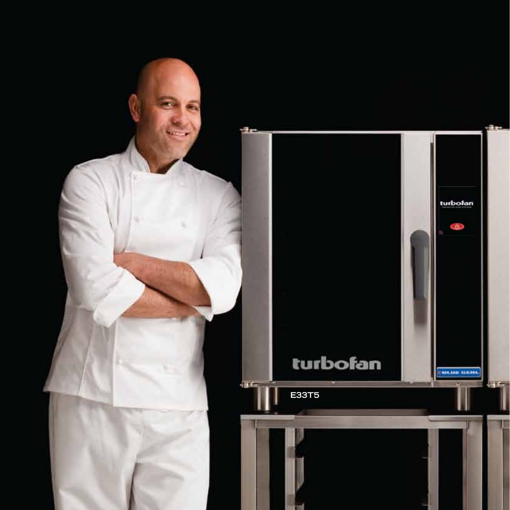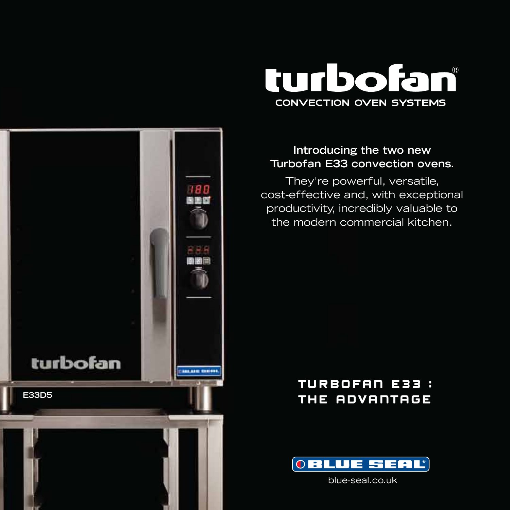

### **Introducing the two new Turbofan E33 convection ovens.**

They're powerful, versatile, cost-effective and, with exceptional productivity, incredibly valuable to the modern commercial kitchen.

## TURBOFAN E33 : THE ADVANTAGE



blue-seal.co.uk

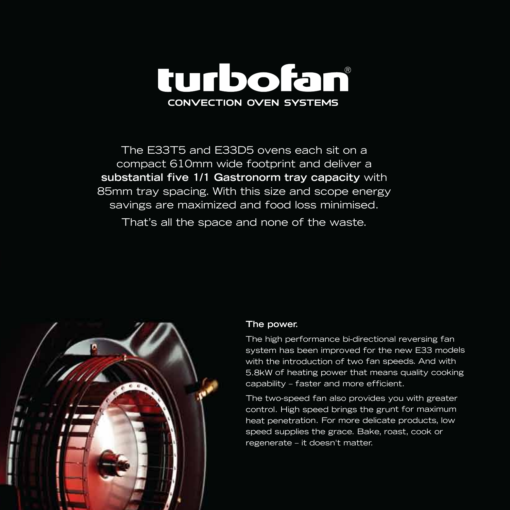

The E33T5 and E33D5 ovens each sit on a compact 610mm wide footprint and deliver a **substantial five 1/1 Gastronorm tray capacity** with 85mm tray spacing. With this size and scope energy savings are maximized and food loss minimised.

That's all the space and none of the waste.



#### **The power.**

The high performance bi-directional reversing fan system has been improved for the new E33 models with the introduction of two fan speeds. And with 5.8kW of heating power that means quality cooking capability – faster and more efficient.

The two-speed fan also provides you with greater control. High speed brings the grunt for maximum heat penetration. For more delicate products, low speed supplies the grace. Bake, roast, cook or regenerate – it doesn't matter.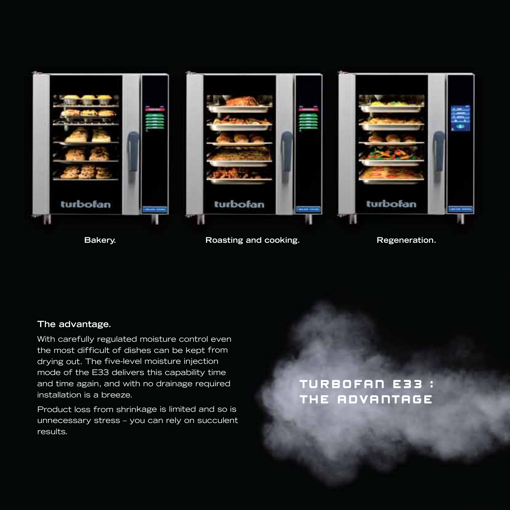

**Bakery. Roasting and cooking. Regeneration.**

#### **The advantage.**

With carefully regulated moisture control even the most difficult of dishes can be kept from drying out. The five-level moisture injection mode of the E33 delivers this capability time and time again, and with no drainage required installation is a breeze.

Product loss from shrinkage is limited and so is unnecessary stress – you can rely on succulent results.

TURBOFAN E33 : THE ADVANTAGE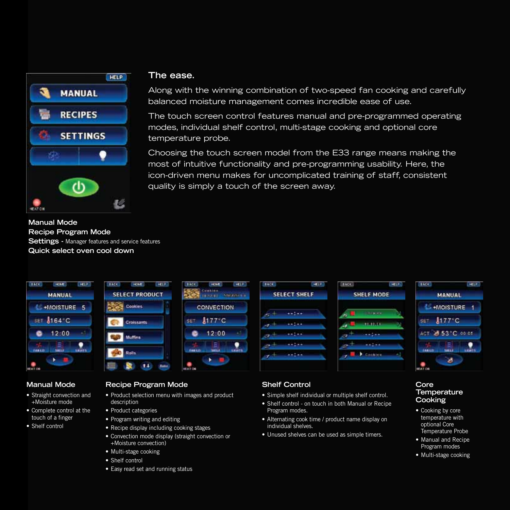

**Manual Mode Recipe Program Mode Settings -** Manager features and service features **Quick select oven cool down**



#### **Manual Mode**

- Straight convection and +Moisture mode
- Complete control at the touch of a finger
- Shelf control

#### **The ease.**

Along with the winning combination of two-speed fan cooking and carefully balanced moisture management comes incredible ease of use.

The touch screen control features manual and pre-programmed operating modes, individual shelf control, multi-stage cooking and optional core temperature probe.

Choosing the touch screen model from the E33 range means making the most of intuitive functionality and pre-programming usability. Here, the icon-driven menu makes for uncomplicated training of staff, consistent quality is simply a touch of the screen away.



#### **Recipe Program Mode**

- Product selection menu with images and product description
- Product categories
- Program writing and editing
- Recipe display including cooking stages
- Convection mode display (straight convection or +Moisture convection)
- Multi-stage cooking
- Shelf control
- Easy read set and running status

#### **Shelf Control**

- Simple shelf individual or multiple shelf control.
- Shelf control on touch in both Manual or Recipe Program modes.
- Alternating cook time / product name display on individual shelves.
- Unused shelves can be used as simple timers.

#### **Core Temperature Cooking**

- Cooking by core temperature with optional Core Temperature Probe
- Manual and Recipe Program modes
- Multi-stage cooking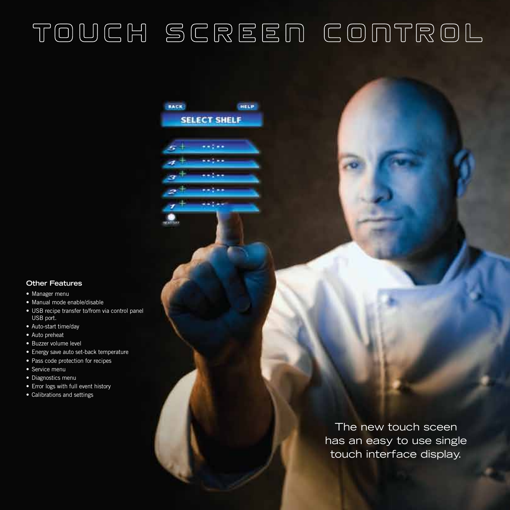# TOUCH SCREEN CONTROL

HELP

**BACK** 

 $5+$ 

4

**SELECT SHELF** 

**ANG 64** معندم

محربوه محتمد

#### **Other Features**

- Manager menu
- Manual mode enable/disable
- USB recipe transfer to/from via control panel USB port.
- Auto-start time/day
- Auto preheat
- Buzzer volume level
- Energy save auto set-back temperature
- Pass code protection for recipes
- Service menu
- Diagnostics menu
- Error logs with full event history
- Calibrations and settings

The new touch sceen has an easy to use single touch interface display.